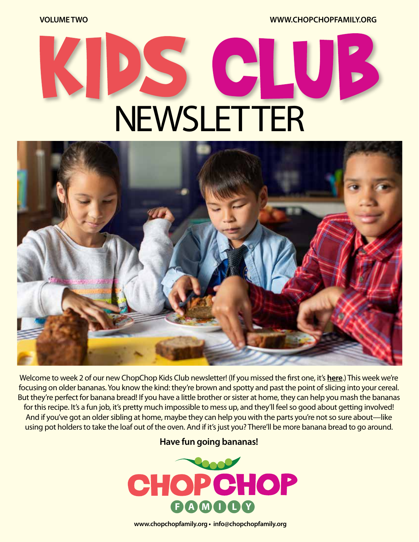**VOLUME TWO WWW.CHOPCHOPFAMILY.ORG**

# C **NEWSLETTER**



Welcome to week 2 of our new ChopChop Kids Club newsletter! (If you missed the first one, it's **[here](https://chopchopmag.us5.list-manage.com/track/click?u=b1ea30ff4c07c4e770929e7f7&id=3e0f82a434&e=aa9edb13d4)**.) This week we're focusing on older bananas. You know the kind: they're brown and spotty and past the point of slicing into your cereal. But they're perfect for banana bread! If you have a little brother or sister at home, they can help you mash the bananas for this recipe. It's a fun job, it's pretty much impossible to mess up, and they'll feel so good about getting involved! And if you've got an older sibling at home, maybe they can help you with the parts you're not so sure about—like using pot holders to take the loaf out of the oven. And if it's just you? There'll be more banana bread to go around.

#### **Have fun going bananas!**



**www.chopchopfamily.org • info@chopchopfamily.org**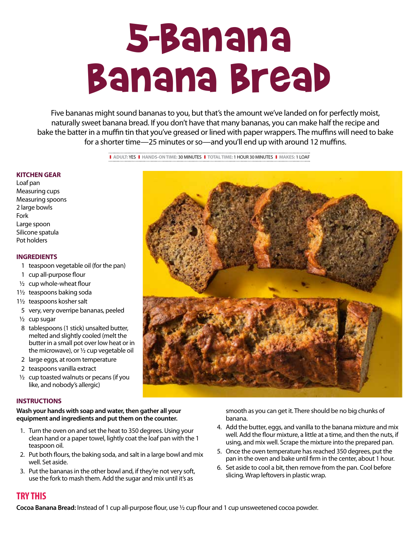## 5-Banana Banana Bread

Five bananas might sound bananas to you, but that's the amount we've landed on for perfectly moist, naturally sweet banana bread. If you don't have that many bananas, you can make half the recipe and bake the batter in a muffin tin that you've greased or lined with paper wrappers. The muffins will need to bake for a shorter time—25 minutes or so—and you'll end up with around 12 muffins.

> ❚ **ADULT:** YES❚ **HANDS-ON TIME:** 30 MINUTES❚ **TOTAL TIME:** 1 HOUR 30 MINUTES❚ **MAKES:** 1 LOAF

#### **KITCHEN GEAR**

Loaf pan Measuring cups Measuring spoons 2 large bowls Fork Large spoon Silicone spatula Pot holders

#### **INGREDIENTS**

- 1 teaspoon vegetable oil (for the pan)
- 1 cup all-purpose flour
- $1/2$  cup whole-wheat flour
- 11/2 teaspoons baking soda
- 11/2 teaspoons kosher salt
- 5 very, very overripe bananas, peeled
- $1/2$  cup sugar
- 8 tablespoons (1 stick) unsalted butter, melted and slightly cooled (melt the butter in a small pot over low heat or in the microwave), or  $\frac{1}{2}$  cup vegetable oil
- 2 large eggs, at room temperature
- 2 teaspoons vanilla extract
- $\frac{1}{2}$  cup toasted walnuts or pecans (if you like, and nobody's allergic)

#### **INSTRUCTIONS**

**Wash your hands with soap and water, then gather all your equipment and ingredients and put them on the counter.**

- 1. Turn the oven on and set the heat to 350 degrees. Using your clean hand or a paper towel, lightly coat the loaf pan with the 1 teaspoon oil.
- 2. Put both flours, the baking soda, and salt in a large bowl and mix well. Set aside.
- 3. Put the bananas in the other bowl and, if they're not very soft, use the fork to mash them. Add the sugar and mix until it's as

smooth as you can get it. There should be no big chunks of banana.

- 4. Add the butter, eggs, and vanilla to the banana mixture and mix well. Add the flour mixture, a little at a time, and then the nuts, if using, and mix well. Scrape the mixture into the prepared pan.
- 5. Once the oven temperature has reached 350 degrees, put the pan in the oven and bake until firm in the center, about 1 hour.
- 6. Set aside to cool a bit, then remove from the pan. Cool before slicing. Wrap leftovers in plastic wrap.

#### **TRY THIS**

**Cocoa Banana Bread:** Instead of 1 cup all-purpose flour, use 1/2 cup flour and 1 cup unsweetened cocoa powder.

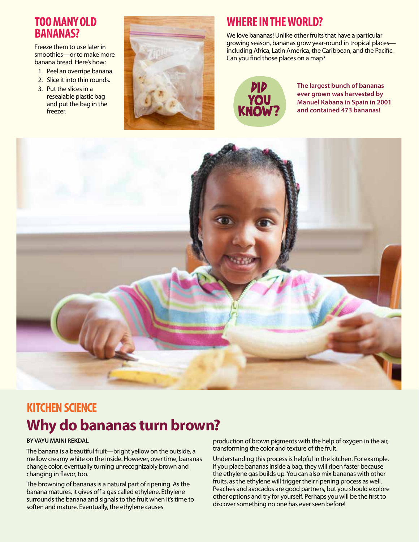#### **TOO MANY OLD BANANAS?**

Freeze them to use later in smoothies—or to make more banana bread. Here's how:

- 1. Peel an overripe banana.
- 2. Slice it into thin rounds.
- 3. Put the slices in a resealable plastic bag and put the bag in the freezer.



## **WHERE IN THE WORLD?**

We love bananas! Unlike other fruits that have a particular growing season, bananas grow year-round in tropical places including Africa, Latin America, the Caribbean, and the Pacific. Can you find those places on a map?



**The largest bunch of bananas ever grown was harvested by Manuel Kabana in Spain in 2001 and contained 473 bananas!**



## **KITCHEN SCIENCE Why do bananas turn brown?**

#### **BY VAYU MAINI REKDAL**

The banana is a beautiful fruit—bright yellow on the outside, a mellow creamy white on the inside. However, over time, bananas change color, eventually turning unrecognizably brown and changing in flavor, too.

The browning of bananas is a natural part of ripening. As the banana matures, it gives off a gas called ethylene. Ethylene surrounds the banana and signals to the fruit when it's time to soften and mature. Eventually, the ethylene causes

production of brown pigments with the help of oxygen in the air, transforming the color and texture of the fruit.

Understanding this process is helpful in the kitchen. For example. if you place bananas inside a bag, they will ripen faster because the ethylene gas builds up. You can also mix bananas with other fruits, as the ethylene will trigger their ripening process as well. Peaches and avocados are good partners, but you should explore other options and try for yourself. Perhaps you will be the first to discover something no one has ever seen before!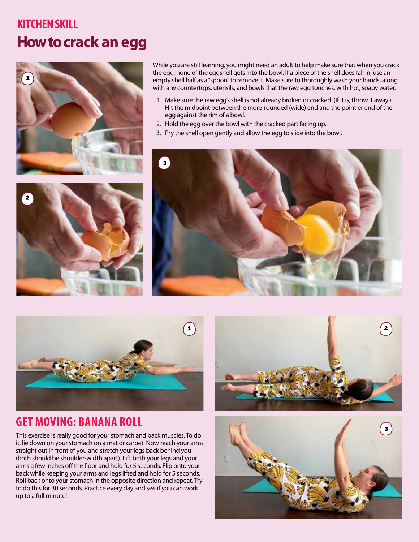## **KITCHEN SKILL How to crack an egg**





While you are still learning, you might need an adult to help make sure that when you crack the egg, none of the eggshell gets into the bowl. If a piece of the shell does fall in, use an empty shell half as a "spoon" to remove it. Make sure to thoroughly wash your hands, along with any countertops, utensils, and bowls that the raw egg touches, with hot, soapy water.

- 1. Make sure the raw egg's shell is not already broken or cracked. (If it is, throw it away.) Hit the midpoint between the more-rounded (wide) end and the pointier end of the egg against the rim of a bowl.
- 2. Hold the egg over the bowl with the cracked part facing up.
- 3. Pry the shell open gently and allow the egg to slide into the bowl.





#### **GET MOVING: BANANA ROLL**

This exercise is really good for your stomach and back muscles. To do it, lie down on your stomach on a mat or carpet. Now reach your arms straight out in front of you and stretch your legs back behind you (both should be shoulder-width apart). Lift both your legs and your arms a few inches off the floor and hold for 5 seconds. Flip onto your back while keeping your arms and legs lifted and hold for 5 seconds. Roll back onto your stomach in the opposite direction and repeat. Try to do this for 30 seconds. Practice every day and see if you can work up to a full minute!